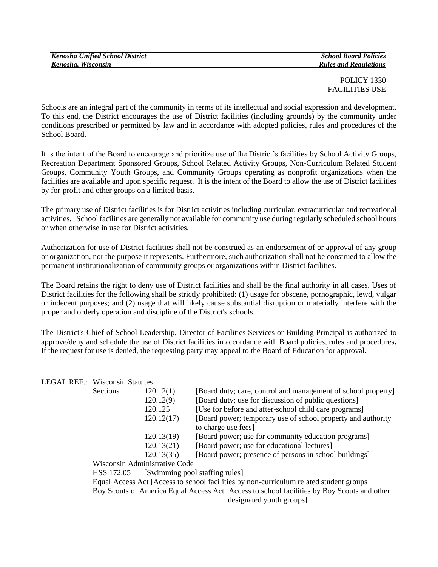| <b>Kenosha Unified School District</b> | <b>School Board Policies</b> |
|----------------------------------------|------------------------------|
| Kenosha, Wisconsin                     | <b>Rules and Regulations</b> |

POLICY 1330 FACILITIES USE

Schools are an integral part of the community in terms of its intellectual and social expression and development. To this end, the District encourages the use of District facilities (including grounds) by the community under conditions prescribed or permitted by law and in accordance with adopted policies, rules and procedures of the School Board.

It is the intent of the Board to encourage and prioritize use of the District's facilities by School Activity Groups, Recreation Department Sponsored Groups, School Related Activity Groups, Non-Curriculum Related Student Groups, Community Youth Groups, and Community Groups operating as nonprofit organizations when the facilities are available and upon specific request. It is the intent of the Board to allow the use of District facilities by for-profit and other groups on a limited basis.

The primary use of District facilities is for District activities including curricular, extracurricular and recreational activities. School facilities are generally not available for community use during regularly scheduled school hours or when otherwise in use for District activities.

Authorization for use of District facilities shall not be construed as an endorsement of or approval of any group or organization, nor the purpose it represents. Furthermore, such authorization shall not be construed to allow the permanent institutionalization of community groups or organizations within District facilities.

The Board retains the right to deny use of District facilities and shall be the final authority in all cases. Uses of District facilities for the following shall be strictly prohibited: (1) usage for obscene, pornographic, lewd, vulgar or indecent purposes; and (2) usage that will likely cause substantial disruption or materially interfere with the proper and orderly operation and discipline of the District's schools.

The District's Chief of School Leadership, Director of Facilities Services or Building Principal is authorized to approve/deny and schedule the use of District facilities in accordance with Board policies, rules and procedures**.**  If the request for use is denied, the requesting party may appeal to the Board of Education for approval.

## LEGAL REF.: Wisconsin Statutes

| Sections | 120.12(1)  | [Board duty; care, control and management of school property] |
|----------|------------|---------------------------------------------------------------|
|          | 120.12(9)  | [Board duty; use for discussion of public questions]          |
|          | 120.125    | [Use for before and after-school child care programs]         |
|          | 120.12(17) | [Board power; temporary use of school property and authority  |
|          |            | to charge use fees]                                           |
|          | 120.13(19) | [Board power; use for community education programs]           |
|          | 120.13(21) | [Board power; use for educational lectures]                   |
|          | 120.13(35) | [Board power; presence of persons in school buildings]        |
|          |            |                                                               |

Wisconsin Administrative Code

HSS 172.05 [Swimming pool staffing rules]

Equal Access Act [Access to school facilities by non-curriculum related student groups Boy Scouts of America Equal Access Act [Access to school facilities by Boy Scouts and other designated youth groups]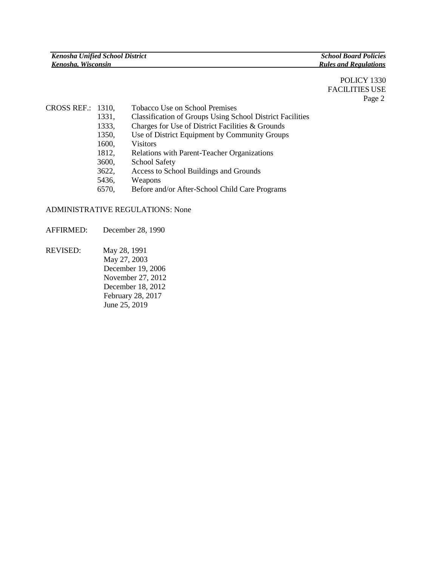POLICY 1330 FACILITIES USE Page 2

- CROSS REF.: 1310, Tobacco Use on School Premises 1331, Classification of Groups Using School District Facilities 1333, Charges for Use of District Facilities & Grounds 1350, Use of District Equipment by Community Groups 1600, Visitors 1812, Relations with Parent-Teacher Organizations 3600, School Safety 3622, Access to School Buildings and Grounds
	- 5436, Weapons
	- 6570, Before and/or After-School Child Care Programs

## ADMINISTRATIVE REGULATIONS: None

AFFIRMED: December 28, 1990

REVISED: May 28, 1991 May 27, 2003 December 19, 2006 November 27, 2012 December 18, 2012 February 28, 2017 June 25, 2019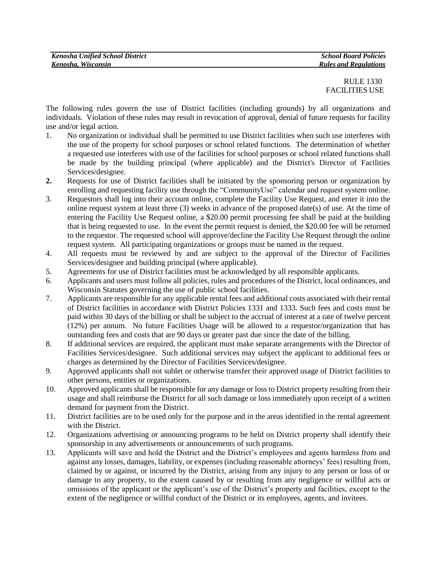| <b>Kenosha Unified School District</b> | <b>School Board Policies</b> |
|----------------------------------------|------------------------------|
| Kenosha, Wisconsin                     | <b>Rules and Regulations</b> |

 RULE 1330 FACILITIES USE

The following rules govern the use of District facilities (including grounds) by all organizations and individuals. Violation of these rules may result in revocation of approval, denial of future requests for facility use and/or legal action.

- 1. No organization or individual shall be permitted to use District facilities when such use interferes with the use of the property for school purposes or school related functions. The determination of whether a requested use interferes with use of the facilities for school purposes or school related functions shall be made by the building principal (where applicable) and the District's Director of Facilities Services/designee.
- **2.** Requests for use of District facilities shall be initiated by the sponsoring person or organization by enrolling and requesting facility use through the "CommunityUse" calendar and request system online.
- 3. Requestors shall log into their account online, complete the Facility Use Request, and enter it into the online request system at least three (3) weeks in advance of the proposed date(s) of use. At the time of entering the Facility Use Request online, a \$20.00 permit processing fee shall be paid at the building that is being requested to use. In the event the permit request is denied, the \$20.00 fee will be returned to the requestor. The requested school will approve/decline the Facility Use Request through the online request system. All participating organizations or groups must be named in the request.
- 4. All requests must be reviewed by and are subject to the approval of the Director of Facilities Services/designee and building principal (where applicable).
- 5. Agreements for use of District facilities must be acknowledged by all responsible applicants.
- 6. Applicants and users must follow all policies, rules and procedures of the District, local ordinances, and Wisconsin Statutes governing the use of public school facilities.
- 7. Applicants are responsible for any applicable rental fees and additional costs associated with their rental of District facilities in accordance with District Policies 1331 and 1333. Such fees and costs must be paid within 30 days of the billing or shall be subject to the accrual of interest at a rate of twelve percent (12%) per annum. No future Facilities Usage will be allowed to a requestor/organization that has outstanding fees and costs that are 90 days or greater past due since the date of the billing.
- 8. If additional services are required, the applicant must make separate arrangements with the Director of Facilities Services/designee. Such additional services may subject the applicant to additional fees or charges as determined by the Director of Facilities Services/designee.
- 9. Approved applicants shall not sublet or otherwise transfer their approved usage of District facilities to other persons, entities or organizations.
- 10. Approved applicants shall be responsible for any damage or loss to District property resulting from their usage and shall reimburse the District for all such damage or loss immediately upon receipt of a written demand for payment from the District.
- 11. District facilities are to be used only for the purpose and in the areas identified in the rental agreement with the District.
- 12. Organizations advertising or announcing programs to be held on District property shall identify their sponsorship in any advertisements or announcements of such programs.
- 13. Applicants will save and hold the District and the District's employees and agents harmless from and against any losses, damages, liability, or expenses (including reasonable attorneys' fees) resulting from, claimed by or against, or incurred by the District, arising from any injury to any person or loss of or damage to any property, to the extent caused by or resulting from any negligence or willful acts or omissions of the applicant or the applicant's use of the District's property and facilities, except to the extent of the negligence or willful conduct of the District or its employees, agents, and invitees.